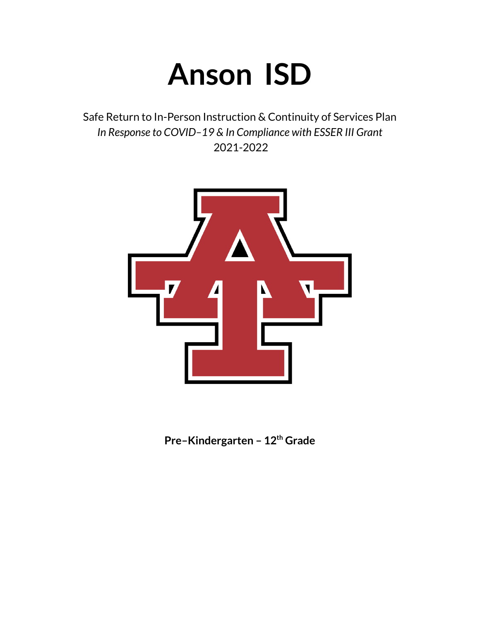# **Anson ISD**

Safe Return to In-Person Instruction & Continuity of Services Plan *In Response to COVID–19 & In Compliance with ESSER III Grant* 2021-2022



**Pre–Kindergarten – 12 th Grade**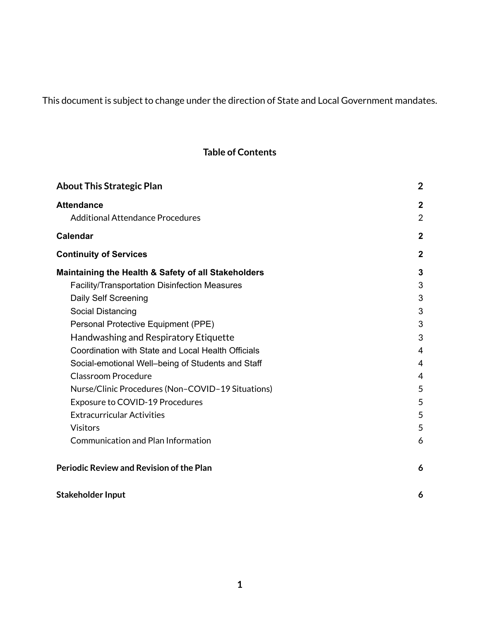# This document is subject to change under the direction of State and Local Government mandates.

# **Table of Contents**

| <b>About This Strategic Plan</b>                     | $\overline{2}$   |
|------------------------------------------------------|------------------|
| <b>Attendance</b>                                    | $\boldsymbol{2}$ |
| <b>Additional Attendance Procedures</b>              | $\overline{2}$   |
| <b>Calendar</b>                                      | $\overline{2}$   |
| <b>Continuity of Services</b>                        | $\mathbf{2}$     |
| Maintaining the Health & Safety of all Stakeholders  | 3                |
| <b>Facility/Transportation Disinfection Measures</b> | 3                |
| Daily Self Screening                                 | 3                |
| Social Distancing                                    | 3                |
| Personal Protective Equipment (PPE)                  | 3                |
| Handwashing and Respiratory Etiquette                | 3                |
| Coordination with State and Local Health Officials   | 4                |
| Social-emotional Well-being of Students and Staff    | 4                |
| <b>Classroom Procedure</b>                           | 4                |
| Nurse/Clinic Procedures (Non-COVID-19 Situations)    | 5                |
| Exposure to COVID-19 Procedures                      | 5                |
| <b>Extracurricular Activities</b>                    | 5                |
| <b>Visitors</b>                                      | 5                |
| <b>Communication and Plan Information</b>            | 6                |
| <b>Periodic Review and Revision of the Plan</b>      | 6                |
| <b>Stakeholder Input</b>                             | 6                |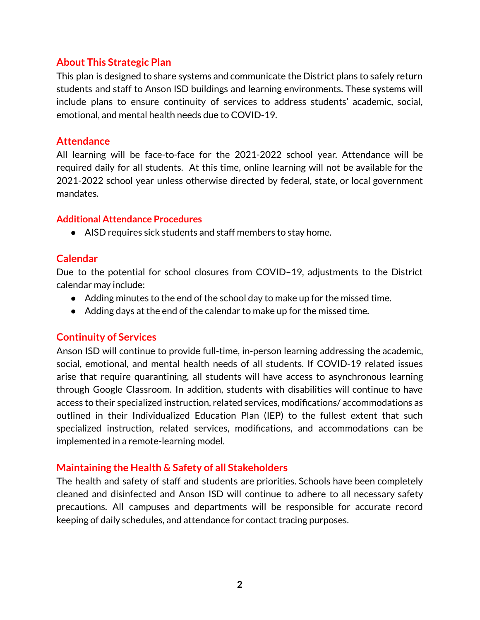# <span id="page-2-0"></span>**About This Strategic Plan**

This plan is designed to share systems and communicate the District plans to safely return students and staff to Anson ISD buildings and learning environments. These systems will include plans to ensure continuity of services to address students' academic, social, emotional, and mental health needs due to COVID-19.

#### <span id="page-2-1"></span>**Attendance**

All learning will be face-to-face for the 2021-2022 school year. Attendance will be required daily for all students. At this time, online learning will not be available for the 2021-2022 school year unless otherwise directed by federal, state, or local government mandates.

#### <span id="page-2-2"></span>**Additional Attendance Procedures**

● AISD requires sick students and staff members to stay home.

#### <span id="page-2-3"></span>**Calendar**

Due to the potential for school closures from COVID–19, adjustments to the District calendar may include:

- Adding minutes to the end of the school day to make up for the missed time.
- Adding days at the end of the calendar to make up for the missed time.

#### <span id="page-2-4"></span>**Continuity of Services**

Anson ISD will continue to provide full-time, in-person learning addressing the academic, social, emotional, and mental health needs of all students. If COVID-19 related issues arise that require quarantining, all students will have access to asynchronous learning through Google Classroom. In addition, students with disabilities will continue to have access to their specialized instruction, related services, modifications/ accommodations as outlined in their Individualized Education Plan (IEP) to the fullest extent that such specialized instruction, related services, modifications, and accommodations can be implemented in a remote-learning model.

#### <span id="page-2-5"></span>**Maintaining the Health & Safety of all Stakeholders**

The health and safety of staff and students are priorities. Schools have been completely cleaned and disinfected and Anson ISD will continue to adhere to all necessary safety precautions. All campuses and departments will be responsible for accurate record keeping of daily schedules, and attendance for contact tracing purposes.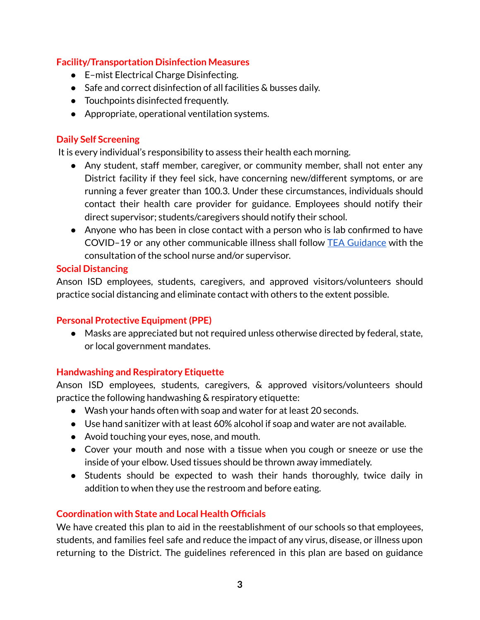#### <span id="page-3-0"></span>**Facility/Transportation Disinfection Measures**

- E-mist Electrical Charge Disinfecting.
- Safe and correct disinfection of all facilities & busses daily.
- Touchpoints disinfected frequently.
- Appropriate, operational ventilation systems.

# <span id="page-3-1"></span>**Daily Self Screening**

It is every individual's responsibility to assess their health each morning.

- Any student, staff member, caregiver, or community member, shall not enter any District facility if they feel sick, have concerning new/different symptoms, or are running a fever greater than 100.3. Under these circumstances, individuals should contact their health care provider for guidance. Employees should notify their direct supervisor; students/caregivers should notify their school.
- Anyone who has been in close contact with a person who is lab confirmed to have COVID–19 or any other communicable illness shall follow TEA [Guidance](https://tea.texas.gov/sites/default/files/covid/SY-20-21-Public-Health-Guidance.pdf) with the consultation of the school nurse and/or supervisor.

#### <span id="page-3-2"></span>**Social Distancing**

Anson ISD employees, students, caregivers, and approved visitors/volunteers should practice social distancing and eliminate contact with others to the extent possible.

# <span id="page-3-3"></span>**Personal Protective Equipment(PPE)**

● Masks are appreciated but not required unless otherwise directed by federal, state, or local government mandates.

# <span id="page-3-4"></span>**Handwashing and Respiratory Etiquette**

Anson ISD employees, students, caregivers, & approved visitors/volunteers should practice the following handwashing & respiratory etiquette:

- Wash your hands often with soap and water for at least 20 seconds.
- Use hand sanitizer with at least 60% alcohol if soap and water are not available.
- Avoid touching your eyes, nose, and mouth.
- Cover your mouth and nose with a tissue when you cough or sneeze or use the inside of your elbow. Used tissues should be thrown away immediately.
- Students should be expected to wash their hands thoroughly, twice daily in addition to when they use the restroom and before eating.

# <span id="page-3-5"></span>**Coordination with State and Local Health Officials**

We have created this plan to aid in the reestablishment of our schools so that employees, students, and families feel safe and reduce the impact of any virus, disease, or illness upon returning to the District. The guidelines referenced in this plan are based on guidance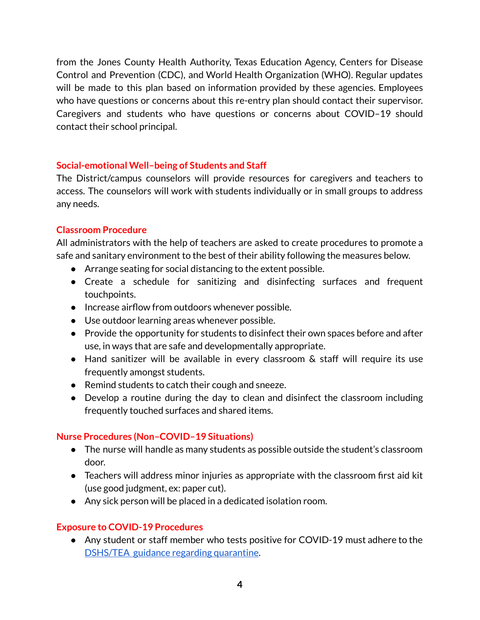from the Jones County Health Authority, Texas Education Agency, Centers for Disease Control and Prevention (CDC), and World Health Organization (WHO). Regular updates will be made to this plan based on information provided by these agencies. Employees who have questions or concerns about this re-entry plan should contact their supervisor. Caregivers and students who have questions or concerns about COVID–19 should contact their school principal.

# <span id="page-4-0"></span>**Social-emotional Well–being of Students and Staff**

The District/campus counselors will provide resources for caregivers and teachers to access. The counselors will work with students individually or in small groups to address any needs.

#### <span id="page-4-1"></span>**Classroom Procedure**

All administrators with the help of teachers are asked to create procedures to promote a safe and sanitary environment to the best of their ability following the measures below.

- Arrange seating for social distancing to the extent possible.
- Create a schedule for sanitizing and disinfecting surfaces and frequent touchpoints.
- Increase airflow from outdoors whenever possible.
- Use outdoor learning areas whenever possible.
- Provide the opportunity for students to disinfect their own spaces before and after use, in ways that are safe and developmentally appropriate.
- Hand sanitizer will be available in every classroom & staff will require its use frequently amongst students.
- Remind students to catch their cough and sneeze.
- Develop a routine during the day to clean and disinfect the classroom including frequently touched surfaces and shared items.

# <span id="page-4-2"></span>**Nurse Procedures (Non–COVID–19 Situations)**

- The nurse will handle as many students as possible outside the student's classroom door.
- Teachers will address minor injuries as appropriate with the classroom first aid kit (use good judgment, ex: paper cut).
- Any sick person will be placed in a dedicated isolation room.

# <span id="page-4-3"></span>**Exposure to COVID-19 Procedures**

● Any student or staff member who tests positive for COVID-19 must adhere to the [DSHS/TEA](https://www.dshs.texas.gov/schoolhealth/pdf/TDSHS-ExclusionGuidance.pdf) guidance regarding quarantine.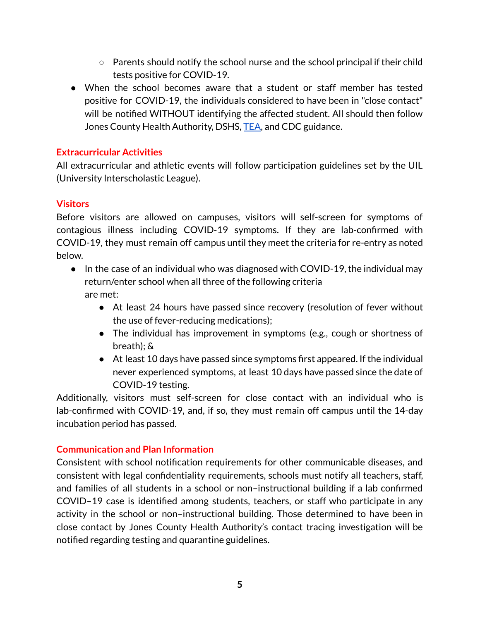- $\circ$  Parents should notify the school nurse and the school principal if their child tests positive for COVID-19.
- When the school becomes aware that a student or staff member has tested positive for COVID-19, the individuals considered to have been in "close contact" will be notified WITHOUT identifying the affected student. All should then follow Jones County Health Authority, DSHS, [TEA,](https://tea.texas.gov/sites/default/files/covid/SY-20-21-Public-Health-Guidance.pdf) and CDC guidance.

# **Extracurricular Activities**

All extracurricular and athletic events will follow participation guidelines set by the UIL (University Interscholastic League).

# <span id="page-5-0"></span>**Visitors**

Before visitors are allowed on campuses, visitors will self-screen for symptoms of contagious illness including COVID-19 symptoms. If they are lab-confirmed with COVID-19, they must remain off campus until they meet the criteria for re-entry as noted below.

- In the case of an individual who was diagnosed with COVID-19, the individual may return/enter school when all three of the following criteria are met:
	- At least 24 hours have passed since recovery (resolution of fever without the use of fever-reducing medications);
	- The individual has improvement in symptoms (e.g., cough or shortness of breath); &
	- At least 10 days have passed since symptoms first appeared. If the individual never experienced symptoms, at least 10 days have passed since the date of COVID-19 testing.

Additionally, visitors must self-screen for close contact with an individual who is lab-confirmed with COVID-19, and, if so, they must remain off campus until the 14-day incubation period has passed.

# <span id="page-5-1"></span>**Communication and Plan Information**

Consistent with school notification requirements for other communicable diseases, and consistent with legal confidentiality requirements, schools must notify all teachers, staff, and families of all students in a school or non–instructional building if a lab confirmed COVID–19 case is identified among students, teachers, or staff who participate in any activity in the school or non–instructional building. Those determined to have been in close contact by Jones County Health Authority's contact tracing investigation will be notified regarding testing and quarantine guidelines.